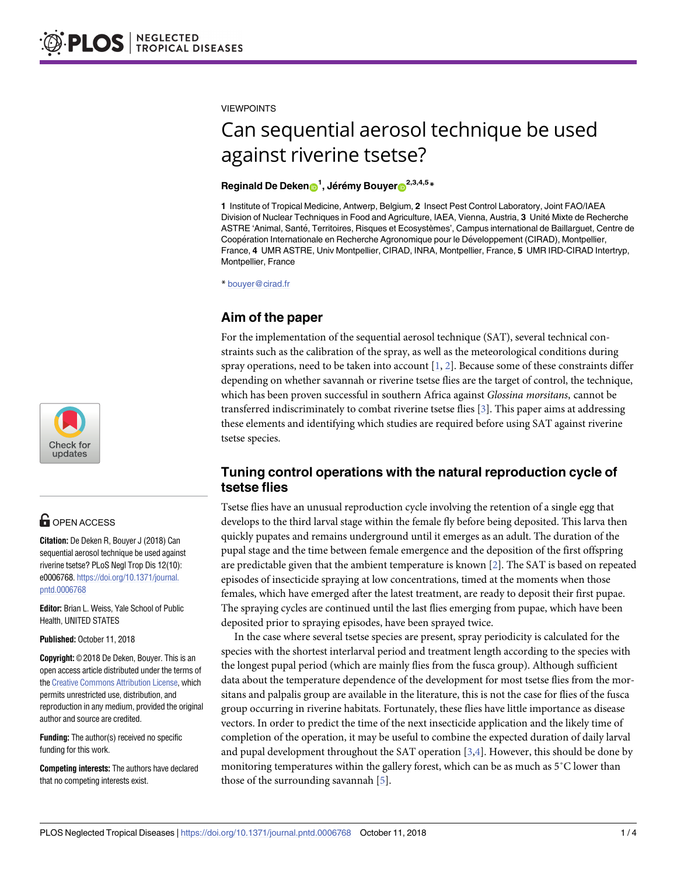#### <span id="page-0-0"></span>VIEWPOINTS

# Can sequential aerosol technique be used against riverine tsetse?

#### **Reginald De Deken[ID1](http://orcid.org/0000-0002-7032-1569) , Je´re´my Bouyer[ID2](http://orcid.org/0000-0002-1913-416X),3,4,5\***

**1** Institute of Tropical Medicine, Antwerp, Belgium, **2** Insect Pest Control Laboratory, Joint FAO/IAEA Division of Nuclear Techniques in Food and Agriculture, IAEA, Vienna, Austria, **3** Unite´ Mixte de Recherche ASTRE 'Animal, Santé, Territoires, Risques et Ecosystèmes', Campus international de Baillarguet, Centre de Coopération Internationale en Recherche Agronomique pour le Développement (CIRAD), Montpellier, France, **4** UMR ASTRE, Univ Montpellier, CIRAD, INRA, Montpellier, France, **5** UMR IRD-CIRAD Intertryp, Montpellier, France

\* bouyer@cirad.fr

## **Aim of the paper**

For the implementation of the sequential aerosol technique (SAT), several technical constraints such as the calibration of the spray, as well as the meteorological conditions during spray operations, need to be taken into account  $[1, 2]$  $[1, 2]$  $[1, 2]$  $[1, 2]$ . Because some of these constraints differ depending on whether savannah or riverine tsetse flies are the target of control, the technique, which has been proven successful in southern Africa against *Glossina morsitans*, cannot be transferred indiscriminately to combat riverine tsetse flies [[3\]](#page-3-0). This paper aims at addressing these elements and identifying which studies are required before using SAT against riverine tsetse species.

#### **Tuning control operations with the natural reproduction cycle of tsetse flies**

Tsetse flies have an unusual reproduction cycle involving the retention of a single egg that develops to the third larval stage within the female fly before being deposited. This larva then quickly pupates and remains underground until it emerges as an adult. The duration of the pupal stage and the time between female emergence and the deposition of the first offspring are predictable given that the ambient temperature is known [[2](#page-2-0)]. The SAT is based on repeated episodes of insecticide spraying at low concentrations, timed at the moments when those females, which have emerged after the latest treatment, are ready to deposit their first pupae. The spraying cycles are continued until the last flies emerging from pupae, which have been deposited prior to spraying episodes, have been sprayed twice.

In the case where several tsetse species are present, spray periodicity is calculated for the species with the shortest interlarval period and treatment length according to the species with the longest pupal period (which are mainly flies from the fusca group). Although sufficient data about the temperature dependence of the development for most tsetse flies from the morsitans and palpalis group are available in the literature, this is not the case for flies of the fusca group occurring in riverine habitats. Fortunately, these flies have little importance as disease vectors. In order to predict the time of the next insecticide application and the likely time of completion of the operation, it may be useful to combine the expected duration of daily larval and pupal development throughout the SAT operation [[3,4\]](#page-3-0). However, this should be done by monitoring temperatures within the gallery forest, which can be as much as 5˚C lower than those of the surrounding savannah [[5](#page-3-0)].



# **G** OPEN ACCESS

**Citation:** De Deken R, Bouyer J (2018) Can sequential aerosol technique be used against riverine tsetse? PLoS Negl Trop Dis 12(10): e0006768. [https://doi.org/10.1371/journal.](https://doi.org/10.1371/journal.pntd.0006768) [pntd.0006768](https://doi.org/10.1371/journal.pntd.0006768)

**Editor:** Brian L. Weiss, Yale School of Public Health, UNITED STATES

**Published:** October 11, 2018

**Copyright:** © 2018 De Deken, Bouyer. This is an open access article distributed under the terms of the Creative [Commons](http://creativecommons.org/licenses/by/4.0/) Attribution License, which permits unrestricted use, distribution, and reproduction in any medium, provided the original author and source are credited.

**Funding:** The author(s) received no specific funding for this work.

**Competing interests:** The authors have declared that no competing interests exist.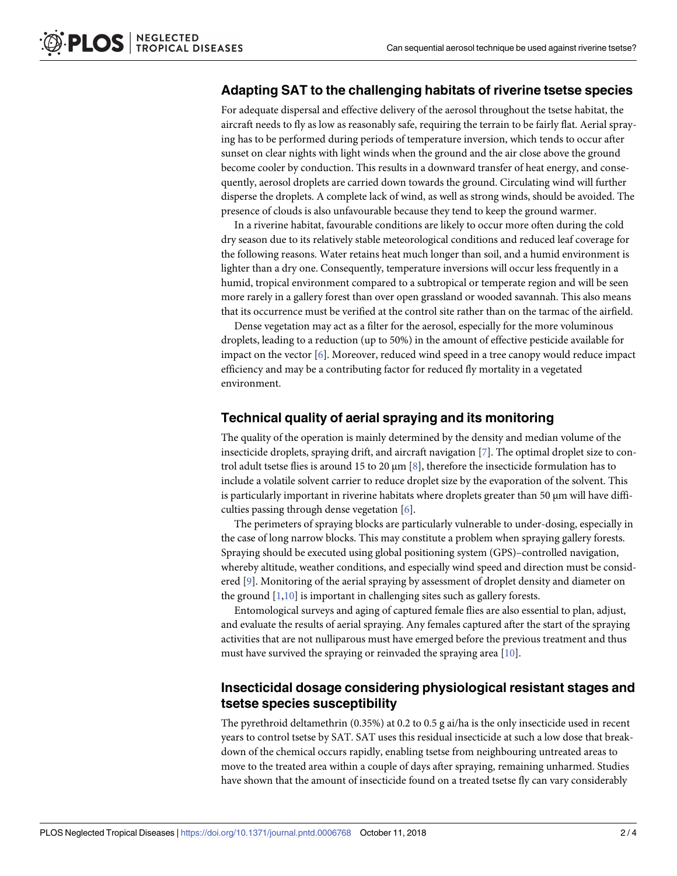#### <span id="page-1-0"></span>**Adapting SAT to the challenging habitats of riverine tsetse species**

For adequate dispersal and effective delivery of the aerosol throughout the tsetse habitat, the aircraft needs to fly as low as reasonably safe, requiring the terrain to be fairly flat. Aerial spraying has to be performed during periods of temperature inversion, which tends to occur after sunset on clear nights with light winds when the ground and the air close above the ground become cooler by conduction. This results in a downward transfer of heat energy, and consequently, aerosol droplets are carried down towards the ground. Circulating wind will further disperse the droplets. A complete lack of wind, as well as strong winds, should be avoided. The presence of clouds is also unfavourable because they tend to keep the ground warmer.

In a riverine habitat, favourable conditions are likely to occur more often during the cold dry season due to its relatively stable meteorological conditions and reduced leaf coverage for the following reasons. Water retains heat much longer than soil, and a humid environment is lighter than a dry one. Consequently, temperature inversions will occur less frequently in a humid, tropical environment compared to a subtropical or temperate region and will be seen more rarely in a gallery forest than over open grassland or wooded savannah. This also means that its occurrence must be verified at the control site rather than on the tarmac of the airfield.

Dense vegetation may act as a filter for the aerosol, especially for the more voluminous droplets, leading to a reduction (up to 50%) in the amount of effective pesticide available for impact on the vector [[6](#page-3-0)]. Moreover, reduced wind speed in a tree canopy would reduce impact efficiency and may be a contributing factor for reduced fly mortality in a vegetated environment.

#### **Technical quality of aerial spraying and its monitoring**

The quality of the operation is mainly determined by the density and median volume of the insecticide droplets, spraying drift, and aircraft navigation [[7\]](#page-3-0). The optimal droplet size to control adult tsetse flies is around 15 to 20  $\mu$ m [\[8](#page-3-0)], therefore the insecticide formulation has to include a volatile solvent carrier to reduce droplet size by the evaporation of the solvent. This is particularly important in riverine habitats where droplets greater than 50 μm will have difficulties passing through dense vegetation [[6](#page-3-0)].

The perimeters of spraying blocks are particularly vulnerable to under-dosing, especially in the case of long narrow blocks. This may constitute a problem when spraying gallery forests. Spraying should be executed using global positioning system (GPS)–controlled navigation, whereby altitude, weather conditions, and especially wind speed and direction must be considered [\[9\]](#page-3-0). Monitoring of the aerial spraying by assessment of droplet density and diameter on the ground [[1,](#page-2-0)[10](#page-3-0)] is important in challenging sites such as gallery forests.

Entomological surveys and aging of captured female flies are also essential to plan, adjust, and evaluate the results of aerial spraying. Any females captured after the start of the spraying activities that are not nulliparous must have emerged before the previous treatment and thus must have survived the spraying or reinvaded the spraying area [\[10\]](#page-3-0).

## **Insecticidal dosage considering physiological resistant stages and tsetse species susceptibility**

The pyrethroid deltamethrin (0.35%) at 0.2 to 0.5 g ai/ha is the only insecticide used in recent years to control tsetse by SAT. SAT uses this residual insecticide at such a low dose that breakdown of the chemical occurs rapidly, enabling tsetse from neighbouring untreated areas to move to the treated area within a couple of days after spraying, remaining unharmed. Studies have shown that the amount of insecticide found on a treated tsetse fly can vary considerably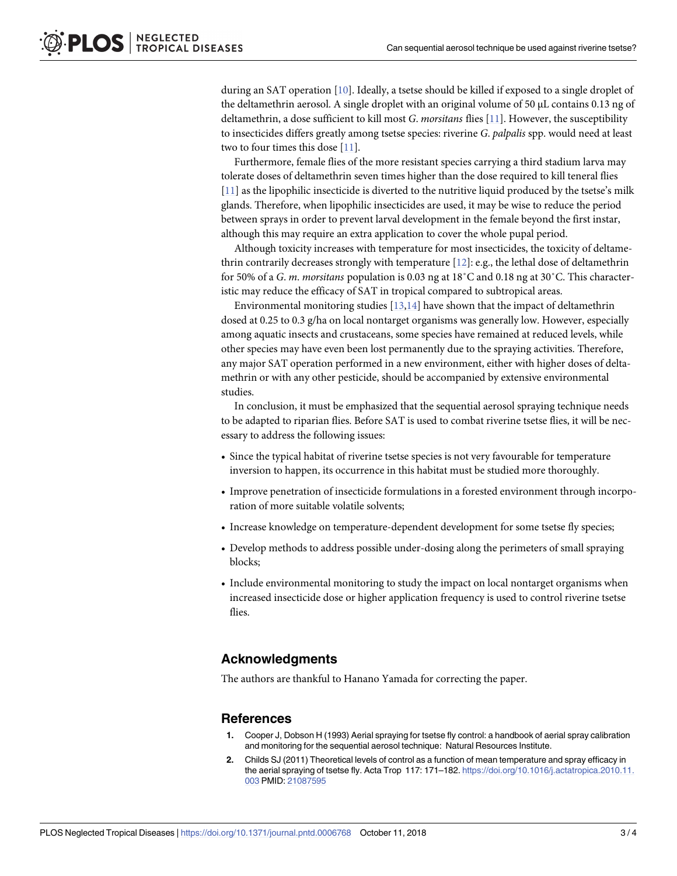<span id="page-2-0"></span>during an SAT operation [[10](#page-3-0)]. Ideally, a tsetse should be killed if exposed to a single droplet of the deltamethrin aerosol. A single droplet with an original volume of 50 μL contains 0.13 ng of deltamethrin, a dose sufficient to kill most *G*. *morsitans* flies [[11](#page-3-0)]. However, the susceptibility to insecticides differs greatly among tsetse species: riverine *G*. *palpalis* spp. would need at least two to four times this dose [[11](#page-3-0)].

Furthermore, female flies of the more resistant species carrying a third stadium larva may tolerate doses of deltamethrin seven times higher than the dose required to kill teneral flies [\[11\]](#page-3-0) as the lipophilic insecticide is diverted to the nutritive liquid produced by the tsetse's milk glands. Therefore, when lipophilic insecticides are used, it may be wise to reduce the period between sprays in order to prevent larval development in the female beyond the first instar, although this may require an extra application to cover the whole pupal period.

Although toxicity increases with temperature for most insecticides, the toxicity of deltamethrin contrarily decreases strongly with temperature [[12](#page-3-0)]: e.g., the lethal dose of deltamethrin for 50% of a *G*. *m*. *morsitans* population is 0.03 ng at 18˚C and 0.18 ng at 30˚C. This characteristic may reduce the efficacy of SAT in tropical compared to subtropical areas.

Environmental monitoring studies [\[13,14](#page-3-0)] have shown that the impact of deltamethrin dosed at 0.25 to 0.3 g/ha on local nontarget organisms was generally low. However, especially among aquatic insects and crustaceans, some species have remained at reduced levels, while other species may have even been lost permanently due to the spraying activities. Therefore, any major SAT operation performed in a new environment, either with higher doses of deltamethrin or with any other pesticide, should be accompanied by extensive environmental studies.

In conclusion, it must be emphasized that the sequential aerosol spraying technique needs to be adapted to riparian flies. Before SAT is used to combat riverine tsetse flies, it will be necessary to address the following issues:

- Since the typical habitat of riverine tsetse species is not very favourable for temperature inversion to happen, its occurrence in this habitat must be studied more thoroughly.
- Improve penetration of insecticide formulations in a forested environment through incorporation of more suitable volatile solvents;
- Increase knowledge on temperature-dependent development for some tsetse fly species;
- Develop methods to address possible under-dosing along the perimeters of small spraying blocks;
- Include environmental monitoring to study the impact on local nontarget organisms when increased insecticide dose or higher application frequency is used to control riverine tsetse flies.

#### **Acknowledgments**

The authors are thankful to Hanano Yamada for correcting the paper.

#### **References**

- **[1](#page-0-0).** Cooper J, Dobson H (1993) Aerial spraying for tsetse fly control: a handbook of aerial spray calibration and monitoring for the sequential aerosol technique: Natural Resources Institute.
- **[2](#page-0-0).** Childs SJ (2011) Theoretical levels of control as a function of mean temperature and spray efficacy in the aerial spraying of tsetse fly. Acta Trop 117: 171–182. [https://doi.org/10.1016/j.actatropica.2010.11.](https://doi.org/10.1016/j.actatropica.2010.11.003) [003](https://doi.org/10.1016/j.actatropica.2010.11.003) PMID: [21087595](http://www.ncbi.nlm.nih.gov/pubmed/21087595)